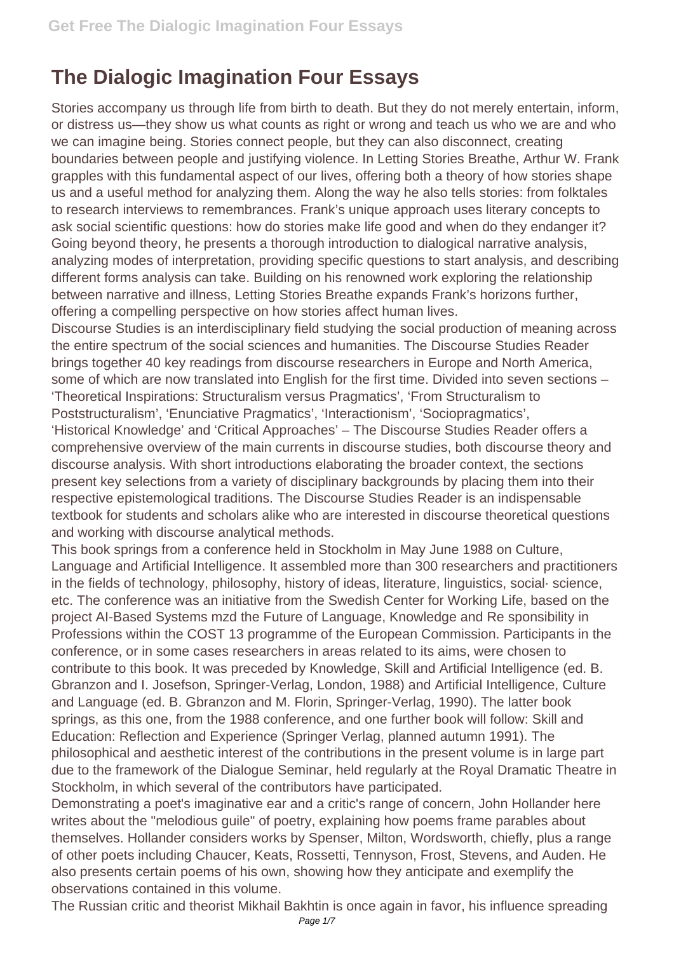## **The Dialogic Imagination Four Essays**

Stories accompany us through life from birth to death. But they do not merely entertain, inform, or distress us—they show us what counts as right or wrong and teach us who we are and who we can imagine being. Stories connect people, but they can also disconnect, creating boundaries between people and justifying violence. In Letting Stories Breathe, Arthur W. Frank grapples with this fundamental aspect of our lives, offering both a theory of how stories shape us and a useful method for analyzing them. Along the way he also tells stories: from folktales to research interviews to remembrances. Frank's unique approach uses literary concepts to ask social scientific questions: how do stories make life good and when do they endanger it? Going beyond theory, he presents a thorough introduction to dialogical narrative analysis, analyzing modes of interpretation, providing specific questions to start analysis, and describing different forms analysis can take. Building on his renowned work exploring the relationship between narrative and illness, Letting Stories Breathe expands Frank's horizons further, offering a compelling perspective on how stories affect human lives.

Discourse Studies is an interdisciplinary field studying the social production of meaning across the entire spectrum of the social sciences and humanities. The Discourse Studies Reader brings together 40 key readings from discourse researchers in Europe and North America, some of which are now translated into English for the first time. Divided into seven sections – 'Theoretical Inspirations: Structuralism versus Pragmatics', 'From Structuralism to Poststructuralism', 'Enunciative Pragmatics', 'Interactionism', 'Sociopragmatics', 'Historical Knowledge' and 'Critical Approaches' – The Discourse Studies Reader offers a comprehensive overview of the main currents in discourse studies, both discourse theory and discourse analysis. With short introductions elaborating the broader context, the sections present key selections from a variety of disciplinary backgrounds by placing them into their respective epistemological traditions. The Discourse Studies Reader is an indispensable textbook for students and scholars alike who are interested in discourse theoretical questions and working with discourse analytical methods.

This book springs from a conference held in Stockholm in May June 1988 on Culture, Language and Artificial Intelligence. It assembled more than 300 researchers and practitioners in the fields of technology, philosophy, history of ideas, literature, linguistics, social· science, etc. The conference was an initiative from the Swedish Center for Working Life, based on the project AI-Based Systems mzd the Future of Language, Knowledge and Re sponsibility in Professions within the COST 13 programme of the European Commission. Participants in the conference, or in some cases researchers in areas related to its aims, were chosen to contribute to this book. It was preceded by Knowledge, Skill and Artificial Intelligence (ed. B. Gbranzon and I. Josefson, Springer-Verlag, London, 1988) and Artificial Intelligence, Culture and Language (ed. B. Gbranzon and M. Florin, Springer-Verlag, 1990). The latter book springs, as this one, from the 1988 conference, and one further book will follow: Skill and Education: Reflection and Experience (Springer Verlag, planned autumn 1991). The philosophical and aesthetic interest of the contributions in the present volume is in large part due to the framework of the Dialogue Seminar, held regularly at the Royal Dramatic Theatre in Stockholm, in which several of the contributors have participated.

Demonstrating a poet's imaginative ear and a critic's range of concern, John Hollander here writes about the "melodious guile" of poetry, explaining how poems frame parables about themselves. Hollander considers works by Spenser, Milton, Wordsworth, chiefly, plus a range of other poets including Chaucer, Keats, Rossetti, Tennyson, Frost, Stevens, and Auden. He also presents certain poems of his own, showing how they anticipate and exemplify the observations contained in this volume.

The Russian critic and theorist Mikhail Bakhtin is once again in favor, his influence spreading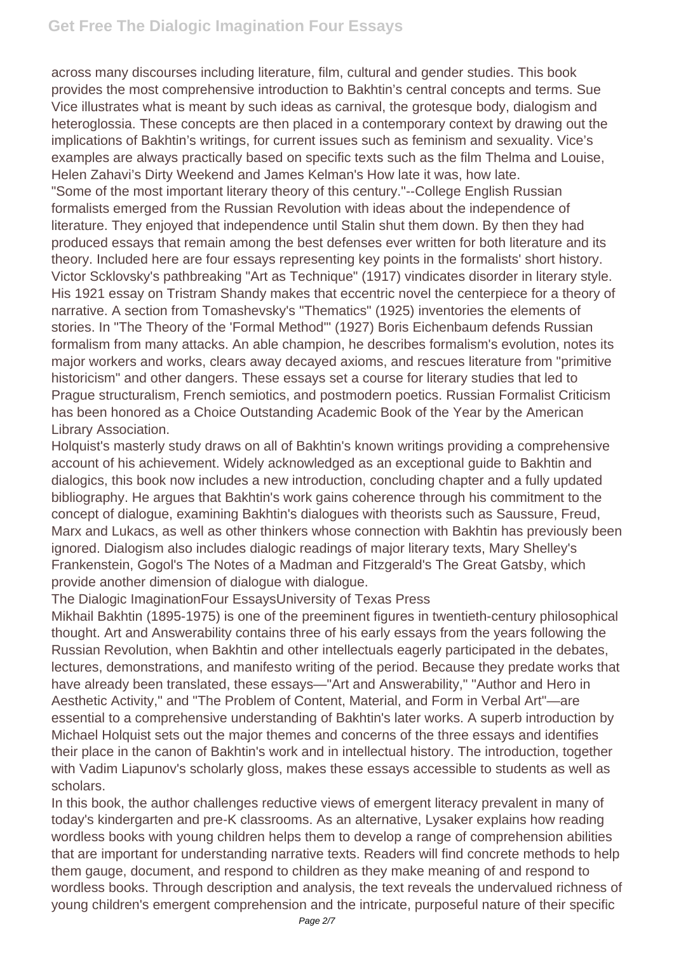across many discourses including literature, film, cultural and gender studies. This book provides the most comprehensive introduction to Bakhtin's central concepts and terms. Sue Vice illustrates what is meant by such ideas as carnival, the grotesque body, dialogism and heteroglossia. These concepts are then placed in a contemporary context by drawing out the implications of Bakhtin's writings, for current issues such as feminism and sexuality. Vice's examples are always practically based on specific texts such as the film Thelma and Louise, Helen Zahavi's Dirty Weekend and James Kelman's How late it was, how late. "Some of the most important literary theory of this century."--College English Russian formalists emerged from the Russian Revolution with ideas about the independence of literature. They enjoyed that independence until Stalin shut them down. By then they had produced essays that remain among the best defenses ever written for both literature and its theory. Included here are four essays representing key points in the formalists' short history. Victor Scklovsky's pathbreaking "Art as Technique" (1917) vindicates disorder in literary style. His 1921 essay on Tristram Shandy makes that eccentric novel the centerpiece for a theory of narrative. A section from Tomashevsky's "Thematics" (1925) inventories the elements of stories. In "The Theory of the 'Formal Method'" (1927) Boris Eichenbaum defends Russian formalism from many attacks. An able champion, he describes formalism's evolution, notes its major workers and works, clears away decayed axioms, and rescues literature from "primitive historicism" and other dangers. These essays set a course for literary studies that led to Prague structuralism, French semiotics, and postmodern poetics. Russian Formalist Criticism has been honored as a Choice Outstanding Academic Book of the Year by the American Library Association.

Holquist's masterly study draws on all of Bakhtin's known writings providing a comprehensive account of his achievement. Widely acknowledged as an exceptional guide to Bakhtin and dialogics, this book now includes a new introduction, concluding chapter and a fully updated bibliography. He argues that Bakhtin's work gains coherence through his commitment to the concept of dialogue, examining Bakhtin's dialogues with theorists such as Saussure, Freud, Marx and Lukacs, as well as other thinkers whose connection with Bakhtin has previously been ignored. Dialogism also includes dialogic readings of major literary texts, Mary Shelley's Frankenstein, Gogol's The Notes of a Madman and Fitzgerald's The Great Gatsby, which provide another dimension of dialogue with dialogue.

The Dialogic ImaginationFour EssaysUniversity of Texas Press

Mikhail Bakhtin (1895-1975) is one of the preeminent figures in twentieth-century philosophical thought. Art and Answerability contains three of his early essays from the years following the Russian Revolution, when Bakhtin and other intellectuals eagerly participated in the debates, lectures, demonstrations, and manifesto writing of the period. Because they predate works that have already been translated, these essays—"Art and Answerability," "Author and Hero in Aesthetic Activity," and "The Problem of Content, Material, and Form in Verbal Art"—are essential to a comprehensive understanding of Bakhtin's later works. A superb introduction by Michael Holquist sets out the major themes and concerns of the three essays and identifies their place in the canon of Bakhtin's work and in intellectual history. The introduction, together with Vadim Liapunov's scholarly gloss, makes these essays accessible to students as well as scholars.

In this book, the author challenges reductive views of emergent literacy prevalent in many of today's kindergarten and pre-K classrooms. As an alternative, Lysaker explains how reading wordless books with young children helps them to develop a range of comprehension abilities that are important for understanding narrative texts. Readers will find concrete methods to help them gauge, document, and respond to children as they make meaning of and respond to wordless books. Through description and analysis, the text reveals the undervalued richness of young children's emergent comprehension and the intricate, purposeful nature of their specific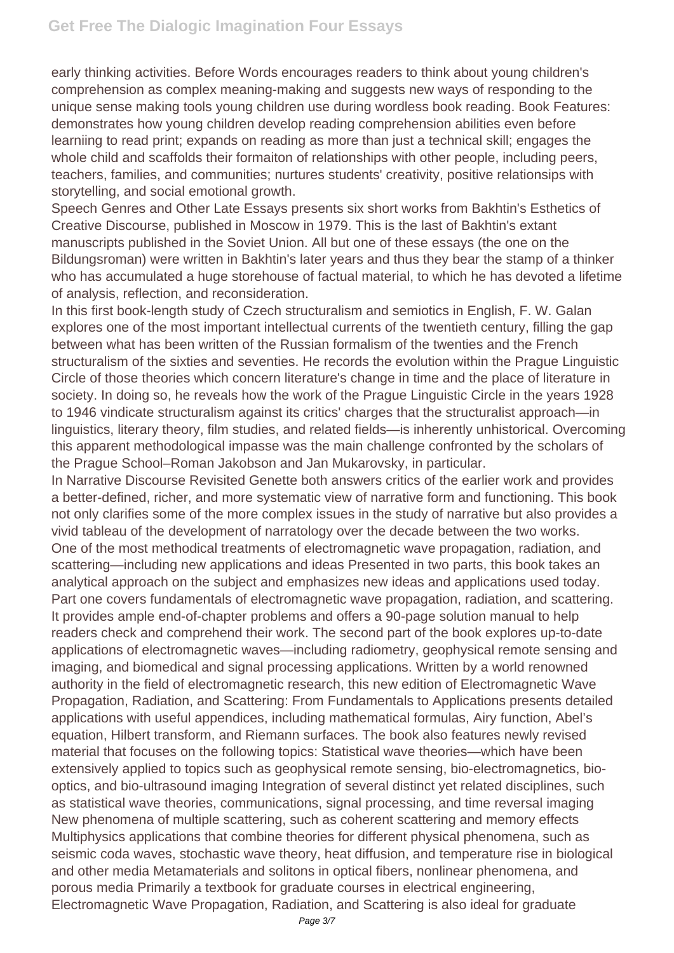early thinking activities. Before Words encourages readers to think about young children's comprehension as complex meaning-making and suggests new ways of responding to the unique sense making tools young children use during wordless book reading. Book Features: demonstrates how young children develop reading comprehension abilities even before learniing to read print; expands on reading as more than just a technical skill; engages the whole child and scaffolds their formaiton of relationships with other people, including peers, teachers, families, and communities; nurtures students' creativity, positive relationsips with storytelling, and social emotional growth.

Speech Genres and Other Late Essays presents six short works from Bakhtin's Esthetics of Creative Discourse, published in Moscow in 1979. This is the last of Bakhtin's extant manuscripts published in the Soviet Union. All but one of these essays (the one on the Bildungsroman) were written in Bakhtin's later years and thus they bear the stamp of a thinker who has accumulated a huge storehouse of factual material, to which he has devoted a lifetime of analysis, reflection, and reconsideration.

In this first book-length study of Czech structuralism and semiotics in English, F. W. Galan explores one of the most important intellectual currents of the twentieth century, filling the gap between what has been written of the Russian formalism of the twenties and the French structuralism of the sixties and seventies. He records the evolution within the Prague Linguistic Circle of those theories which concern literature's change in time and the place of literature in society. In doing so, he reveals how the work of the Prague Linguistic Circle in the years 1928 to 1946 vindicate structuralism against its critics' charges that the structuralist approach—in linguistics, literary theory, film studies, and related fields—is inherently unhistorical. Overcoming this apparent methodological impasse was the main challenge confronted by the scholars of the Prague School–Roman Jakobson and Jan Mukarovsky, in particular.

In Narrative Discourse Revisited Genette both answers critics of the earlier work and provides a better-defined, richer, and more systematic view of narrative form and functioning. This book not only clarifies some of the more complex issues in the study of narrative but also provides a vivid tableau of the development of narratology over the decade between the two works. One of the most methodical treatments of electromagnetic wave propagation, radiation, and scattering—including new applications and ideas Presented in two parts, this book takes an analytical approach on the subject and emphasizes new ideas and applications used today. Part one covers fundamentals of electromagnetic wave propagation, radiation, and scattering. It provides ample end-of-chapter problems and offers a 90-page solution manual to help readers check and comprehend their work. The second part of the book explores up-to-date applications of electromagnetic waves—including radiometry, geophysical remote sensing and imaging, and biomedical and signal processing applications. Written by a world renowned authority in the field of electromagnetic research, this new edition of Electromagnetic Wave Propagation, Radiation, and Scattering: From Fundamentals to Applications presents detailed applications with useful appendices, including mathematical formulas, Airy function, Abel's equation, Hilbert transform, and Riemann surfaces. The book also features newly revised material that focuses on the following topics: Statistical wave theories—which have been extensively applied to topics such as geophysical remote sensing, bio-electromagnetics, biooptics, and bio-ultrasound imaging Integration of several distinct yet related disciplines, such as statistical wave theories, communications, signal processing, and time reversal imaging New phenomena of multiple scattering, such as coherent scattering and memory effects Multiphysics applications that combine theories for different physical phenomena, such as seismic coda waves, stochastic wave theory, heat diffusion, and temperature rise in biological and other media Metamaterials and solitons in optical fibers, nonlinear phenomena, and porous media Primarily a textbook for graduate courses in electrical engineering, Electromagnetic Wave Propagation, Radiation, and Scattering is also ideal for graduate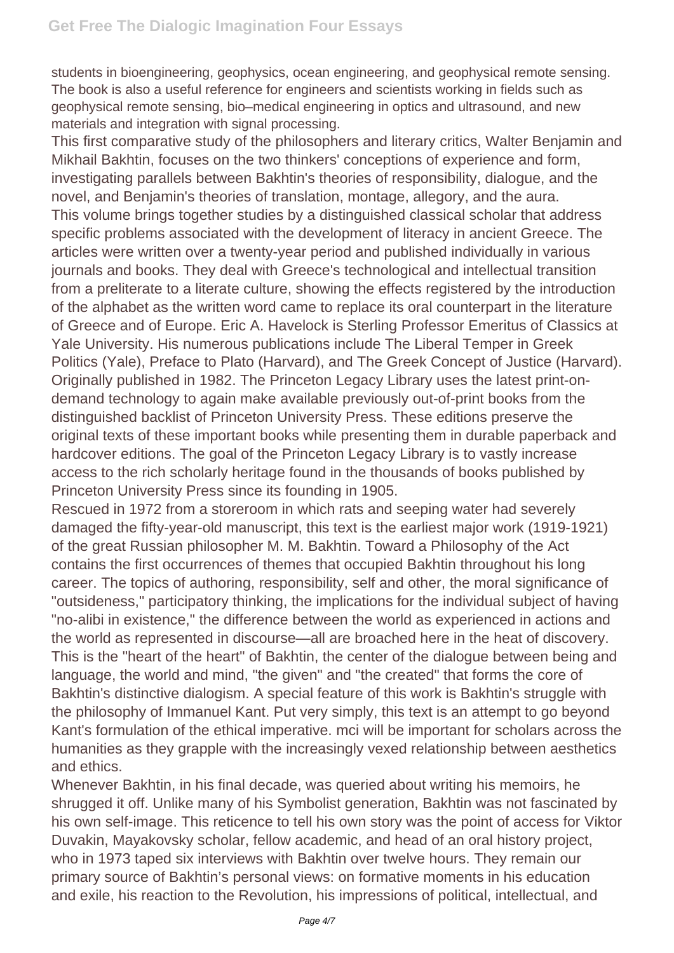students in bioengineering, geophysics, ocean engineering, and geophysical remote sensing. The book is also a useful reference for engineers and scientists working in fields such as geophysical remote sensing, bio–medical engineering in optics and ultrasound, and new materials and integration with signal processing.

This first comparative study of the philosophers and literary critics, Walter Benjamin and Mikhail Bakhtin, focuses on the two thinkers' conceptions of experience and form, investigating parallels between Bakhtin's theories of responsibility, dialogue, and the novel, and Benjamin's theories of translation, montage, allegory, and the aura. This volume brings together studies by a distinguished classical scholar that address specific problems associated with the development of literacy in ancient Greece. The articles were written over a twenty-year period and published individually in various journals and books. They deal with Greece's technological and intellectual transition from a preliterate to a literate culture, showing the effects registered by the introduction of the alphabet as the written word came to replace its oral counterpart in the literature of Greece and of Europe. Eric A. Havelock is Sterling Professor Emeritus of Classics at Yale University. His numerous publications include The Liberal Temper in Greek Politics (Yale), Preface to Plato (Harvard), and The Greek Concept of Justice (Harvard). Originally published in 1982. The Princeton Legacy Library uses the latest print-ondemand technology to again make available previously out-of-print books from the distinguished backlist of Princeton University Press. These editions preserve the original texts of these important books while presenting them in durable paperback and hardcover editions. The goal of the Princeton Legacy Library is to vastly increase access to the rich scholarly heritage found in the thousands of books published by Princeton University Press since its founding in 1905.

Rescued in 1972 from a storeroom in which rats and seeping water had severely damaged the fifty-year-old manuscript, this text is the earliest major work (1919-1921) of the great Russian philosopher M. M. Bakhtin. Toward a Philosophy of the Act contains the first occurrences of themes that occupied Bakhtin throughout his long career. The topics of authoring, responsibility, self and other, the moral significance of "outsideness," participatory thinking, the implications for the individual subject of having "no-alibi in existence," the difference between the world as experienced in actions and the world as represented in discourse—all are broached here in the heat of discovery. This is the "heart of the heart" of Bakhtin, the center of the dialogue between being and language, the world and mind, "the given" and "the created" that forms the core of Bakhtin's distinctive dialogism. A special feature of this work is Bakhtin's struggle with the philosophy of Immanuel Kant. Put very simply, this text is an attempt to go beyond Kant's formulation of the ethical imperative. mci will be important for scholars across the humanities as they grapple with the increasingly vexed relationship between aesthetics and ethics.

Whenever Bakhtin, in his final decade, was queried about writing his memoirs, he shrugged it off. Unlike many of his Symbolist generation, Bakhtin was not fascinated by his own self-image. This reticence to tell his own story was the point of access for Viktor Duvakin, Mayakovsky scholar, fellow academic, and head of an oral history project, who in 1973 taped six interviews with Bakhtin over twelve hours. They remain our primary source of Bakhtin's personal views: on formative moments in his education and exile, his reaction to the Revolution, his impressions of political, intellectual, and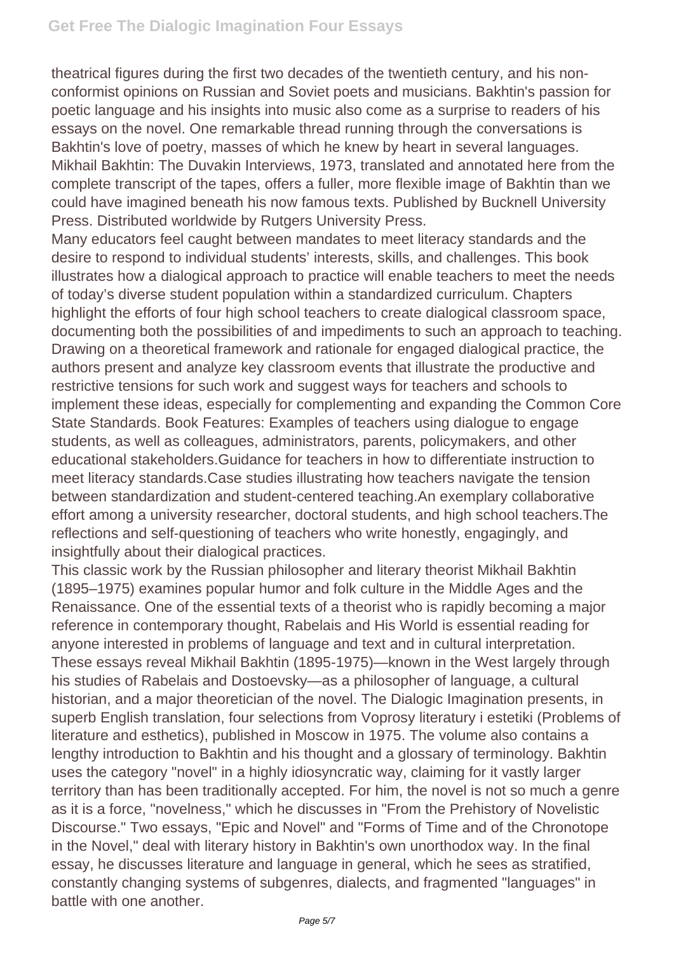theatrical figures during the first two decades of the twentieth century, and his nonconformist opinions on Russian and Soviet poets and musicians. Bakhtin's passion for poetic language and his insights into music also come as a surprise to readers of his essays on the novel. One remarkable thread running through the conversations is Bakhtin's love of poetry, masses of which he knew by heart in several languages. Mikhail Bakhtin: The Duvakin Interviews, 1973, translated and annotated here from the complete transcript of the tapes, offers a fuller, more flexible image of Bakhtin than we could have imagined beneath his now famous texts. Published by Bucknell University Press. Distributed worldwide by Rutgers University Press.

Many educators feel caught between mandates to meet literacy standards and the desire to respond to individual students' interests, skills, and challenges. This book illustrates how a dialogical approach to practice will enable teachers to meet the needs of today's diverse student population within a standardized curriculum. Chapters highlight the efforts of four high school teachers to create dialogical classroom space, documenting both the possibilities of and impediments to such an approach to teaching. Drawing on a theoretical framework and rationale for engaged dialogical practice, the authors present and analyze key classroom events that illustrate the productive and restrictive tensions for such work and suggest ways for teachers and schools to implement these ideas, especially for complementing and expanding the Common Core State Standards. Book Features: Examples of teachers using dialogue to engage students, as well as colleagues, administrators, parents, policymakers, and other educational stakeholders.Guidance for teachers in how to differentiate instruction to meet literacy standards.Case studies illustrating how teachers navigate the tension between standardization and student-centered teaching.An exemplary collaborative effort among a university researcher, doctoral students, and high school teachers.The reflections and self-questioning of teachers who write honestly, engagingly, and insightfully about their dialogical practices.

This classic work by the Russian philosopher and literary theorist Mikhail Bakhtin (1895–1975) examines popular humor and folk culture in the Middle Ages and the Renaissance. One of the essential texts of a theorist who is rapidly becoming a major reference in contemporary thought, Rabelais and His World is essential reading for anyone interested in problems of language and text and in cultural interpretation. These essays reveal Mikhail Bakhtin (1895-1975)—known in the West largely through his studies of Rabelais and Dostoevsky—as a philosopher of language, a cultural historian, and a major theoretician of the novel. The Dialogic Imagination presents, in superb English translation, four selections from Voprosy literatury i estetiki (Problems of literature and esthetics), published in Moscow in 1975. The volume also contains a lengthy introduction to Bakhtin and his thought and a glossary of terminology. Bakhtin uses the category "novel" in a highly idiosyncratic way, claiming for it vastly larger territory than has been traditionally accepted. For him, the novel is not so much a genre as it is a force, "novelness," which he discusses in "From the Prehistory of Novelistic Discourse." Two essays, "Epic and Novel" and "Forms of Time and of the Chronotope in the Novel," deal with literary history in Bakhtin's own unorthodox way. In the final essay, he discusses literature and language in general, which he sees as stratified, constantly changing systems of subgenres, dialects, and fragmented "languages" in battle with one another.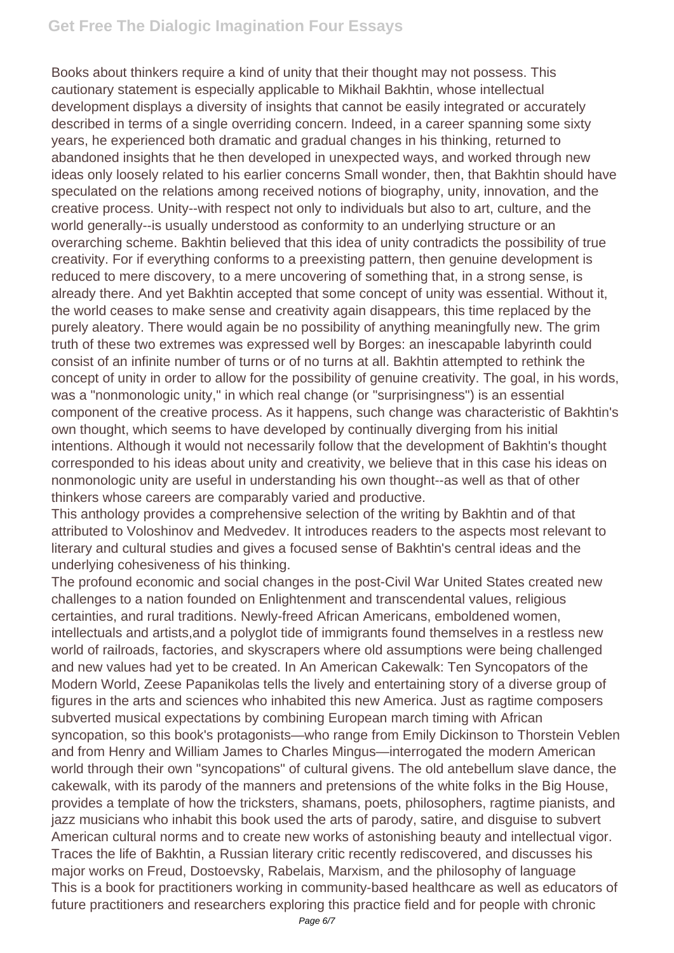## **Get Free The Dialogic Imagination Four Essays**

Books about thinkers require a kind of unity that their thought may not possess. This cautionary statement is especially applicable to Mikhail Bakhtin, whose intellectual development displays a diversity of insights that cannot be easily integrated or accurately described in terms of a single overriding concern. Indeed, in a career spanning some sixty years, he experienced both dramatic and gradual changes in his thinking, returned to abandoned insights that he then developed in unexpected ways, and worked through new ideas only loosely related to his earlier concerns Small wonder, then, that Bakhtin should have speculated on the relations among received notions of biography, unity, innovation, and the creative process. Unity--with respect not only to individuals but also to art, culture, and the world generally--is usually understood as conformity to an underlying structure or an overarching scheme. Bakhtin believed that this idea of unity contradicts the possibility of true creativity. For if everything conforms to a preexisting pattern, then genuine development is reduced to mere discovery, to a mere uncovering of something that, in a strong sense, is already there. And yet Bakhtin accepted that some concept of unity was essential. Without it, the world ceases to make sense and creativity again disappears, this time replaced by the purely aleatory. There would again be no possibility of anything meaningfully new. The grim truth of these two extremes was expressed well by Borges: an inescapable labyrinth could consist of an infinite number of turns or of no turns at all. Bakhtin attempted to rethink the concept of unity in order to allow for the possibility of genuine creativity. The goal, in his words, was a "nonmonologic unity," in which real change (or "surprisingness") is an essential component of the creative process. As it happens, such change was characteristic of Bakhtin's own thought, which seems to have developed by continually diverging from his initial intentions. Although it would not necessarily follow that the development of Bakhtin's thought corresponded to his ideas about unity and creativity, we believe that in this case his ideas on nonmonologic unity are useful in understanding his own thought--as well as that of other thinkers whose careers are comparably varied and productive.

This anthology provides a comprehensive selection of the writing by Bakhtin and of that attributed to Voloshinov and Medvedev. It introduces readers to the aspects most relevant to literary and cultural studies and gives a focused sense of Bakhtin's central ideas and the underlying cohesiveness of his thinking.

The profound economic and social changes in the post-Civil War United States created new challenges to a nation founded on Enlightenment and transcendental values, religious certainties, and rural traditions. Newly-freed African Americans, emboldened women, intellectuals and artists,and a polyglot tide of immigrants found themselves in a restless new world of railroads, factories, and skyscrapers where old assumptions were being challenged and new values had yet to be created. In An American Cakewalk: Ten Syncopators of the Modern World, Zeese Papanikolas tells the lively and entertaining story of a diverse group of figures in the arts and sciences who inhabited this new America. Just as ragtime composers subverted musical expectations by combining European march timing with African syncopation, so this book's protagonists—who range from Emily Dickinson to Thorstein Veblen and from Henry and William James to Charles Mingus—interrogated the modern American world through their own "syncopations" of cultural givens. The old antebellum slave dance, the cakewalk, with its parody of the manners and pretensions of the white folks in the Big House, provides a template of how the tricksters, shamans, poets, philosophers, ragtime pianists, and jazz musicians who inhabit this book used the arts of parody, satire, and disguise to subvert American cultural norms and to create new works of astonishing beauty and intellectual vigor. Traces the life of Bakhtin, a Russian literary critic recently rediscovered, and discusses his major works on Freud, Dostoevsky, Rabelais, Marxism, and the philosophy of language This is a book for practitioners working in community-based healthcare as well as educators of future practitioners and researchers exploring this practice field and for people with chronic